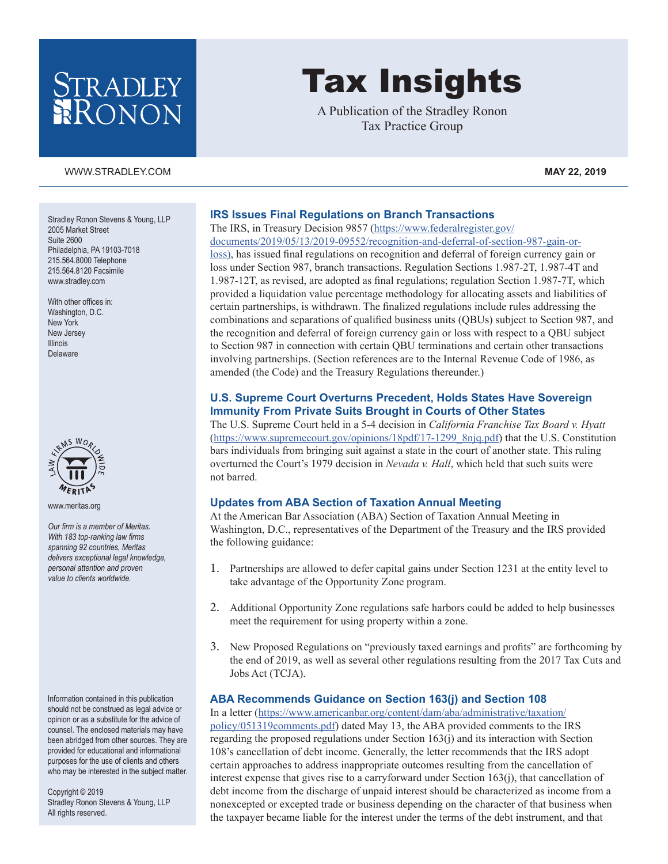# STRADLEY RONON

#### [WWW.STRADLEY.COM](www.stradley.com) **MAY 22, 2019**

Stradley Ronon Stevens & Young, LLP 2005 Market Street Suite 2600 Philadelphia, PA 19103-7018 215.564.8000 Telephone 215.564.8120 Facsimile [www.stradley.com](http://www.stradley.com)

With other offices in: Washington, D.C. New York New Jersey Illinois Delaware



[www.meritas.org](http://www.meritas.org)

*Our firm is a member of Meritas. With 183 top-ranking law firms spanning 92 countries, Meritas delivers exceptional legal knowledge, personal attention and proven value to clients worldwide.*

Information contained in this publication should not be construed as legal advice or opinion or as a substitute for the advice of counsel. The enclosed materials may have been abridged from other sources. They are provided for educational and informational purposes for the use of clients and others who may be interested in the subject matter.

Copyright © 2019 Stradley Ronon Stevens & Young, LLP All rights reserved.

# Tax Insights

A Publication of the Stradley Ronon Tax Practice Group

# **IRS Issues Final Regulations on Branch Transactions**

The IRS, in Treasury Decision 9857 ([https://www.federalregister.gov/](https://www.federalregister.gov/documents/2019/05/13/2019-09552/recognition-and-deferral-of-section-987-gain-or-loss)) [documents/2019/05/13/2019-09552/recognition-and-deferral-of-section-987-gain-or-](https://www.federalregister.gov/documents/2019/05/13/2019-09552/recognition-and-deferral-of-section-987-gain-or-loss))

[loss\)](https://www.federalregister.gov/documents/2019/05/13/2019-09552/recognition-and-deferral-of-section-987-gain-or-loss)), has issued final regulations on recognition and deferral of foreign currency gain or loss under Section 987, branch transactions. Regulation Sections 1.987-2T, 1.987-4T and 1.987-12T, as revised, are adopted as final regulations; regulation Section 1.987-7T, which provided a liquidation value percentage methodology for allocating assets and liabilities of certain partnerships, is withdrawn. The finalized regulations include rules addressing the combinations and separations of qualified business units (QBUs) subject to Section 987, and the recognition and deferral of foreign currency gain or loss with respect to a QBU subject to Section 987 in connection with certain QBU terminations and certain other transactions involving partnerships. (Section references are to the Internal Revenue Code of 1986, as amended (the Code) and the Treasury Regulations thereunder.)

#### **U.S. Supreme Court Overturns Precedent, Holds States Have Sovereign Immunity From Private Suits Brought in Courts of Other States**

The U.S. Supreme Court held in a 5-4 decision in *California Franchise Tax Board v. Hyatt*  ([https://www.supremecourt.gov/opinions/18pdf/17-1299\\_8njq.pdf](https://www.supremecourt.gov/opinions/18pdf/17-1299_8njq.pdf)) that the U.S. Constitution bars individuals from bringing suit against a state in the court of another state. This ruling overturned the Court's 1979 decision in *Nevada v. Hall*, which held that such suits were not barred.

#### **Updates from ABA Section of Taxation Annual Meeting**

At the American Bar Association (ABA) Section of Taxation Annual Meeting in Washington, D.C., representatives of the Department of the Treasury and the IRS provided the following guidance:

- 1. Partnerships are allowed to defer capital gains under Section 1231 at the entity level to take advantage of the Opportunity Zone program.
- 2. Additional Opportunity Zone regulations safe harbors could be added to help businesses meet the requirement for using property within a zone.
- 3. New Proposed Regulations on "previously taxed earnings and profits" are forthcoming by the end of 2019, as well as several other regulations resulting from the 2017 Tax Cuts and Jobs Act (TCJA).

### **ABA Recommends Guidance on Section 163(j) and Section 108**

In a letter ([https://www.americanbar.org/content/dam/aba/administrative/taxation/](https://www.americanbar.org/content/dam/aba/administrative/taxation/policy/051319comments.pdf) [policy/051319comments.pdf](https://www.americanbar.org/content/dam/aba/administrative/taxation/policy/051319comments.pdf)) dated May 13, the ABA provided comments to the IRS regarding the proposed regulations under Section 163(j) and its interaction with Section 108's cancellation of debt income. Generally, the letter recommends that the IRS adopt certain approaches to address inappropriate outcomes resulting from the cancellation of interest expense that gives rise to a carryforward under Section  $163(i)$ , that cancellation of debt income from the discharge of unpaid interest should be characterized as income from a nonexcepted or excepted trade or business depending on the character of that business when the taxpayer became liable for the interest under the terms of the debt instrument, and that